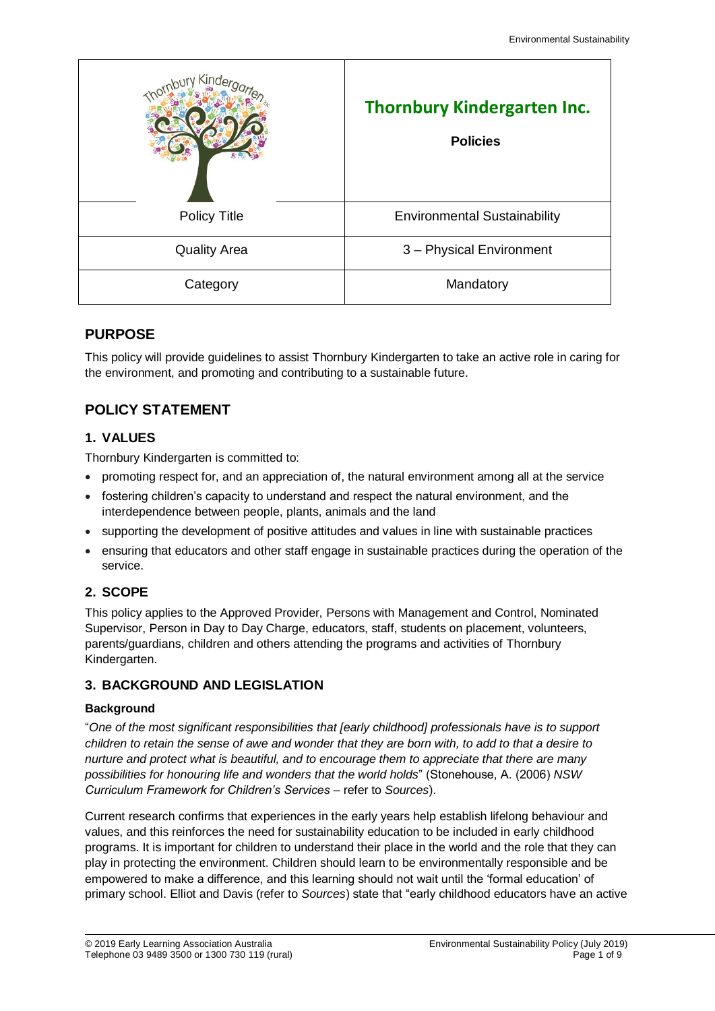| C <sub>inc</sub><br>Thornbur | <b>Thornbury Kindergarten Inc.</b><br><b>Policies</b> |  |
|------------------------------|-------------------------------------------------------|--|
| Policy Title                 | <b>Environmental Sustainability</b>                   |  |
| <b>Quality Area</b>          | 3 - Physical Environment                              |  |
| Category                     | Mandatory                                             |  |

### **PURPOSE**

This policy will provide guidelines to assist Thornbury Kindergarten to take an active role in caring for the environment, and promoting and contributing to a sustainable future.

# **POLICY STATEMENT**

### **1. VALUES**

Thornbury Kindergarten is committed to:

- promoting respect for, and an appreciation of, the natural environment among all at the service
- fostering children's capacity to understand and respect the natural environment, and the interdependence between people, plants, animals and the land
- supporting the development of positive attitudes and values in line with sustainable practices
- ensuring that educators and other staff engage in sustainable practices during the operation of the service.

## **2. SCOPE**

This policy applies to the Approved Provider, Persons with Management and Control, Nominated Supervisor, Person in Day to Day Charge, educators, staff, students on placement, volunteers, parents/guardians, children and others attending the programs and activities of Thornbury Kindergarten.

## **3. BACKGROUND AND LEGISLATION**

### **Background**

"*One of the most significant responsibilities that [early childhood] professionals have is to support children to retain the sense of awe and wonder that they are born with, to add to that a desire to nurture and protect what is beautiful, and to encourage them to appreciate that there are many possibilities for honouring life and wonders that the world holds*" (Stonehouse, A. (2006) *NSW Curriculum Framework for Children's Services* – refer to *Sources*).

Current research confirms that experiences in the early years help establish lifelong behaviour and values, and this reinforces the need for sustainability education to be included in early childhood programs. It is important for children to understand their place in the world and the role that they can play in protecting the environment. Children should learn to be environmentally responsible and be empowered to make a difference, and this learning should not wait until the 'formal education' of primary school. Elliot and Davis (refer to *Sources*) state that "early childhood educators have an active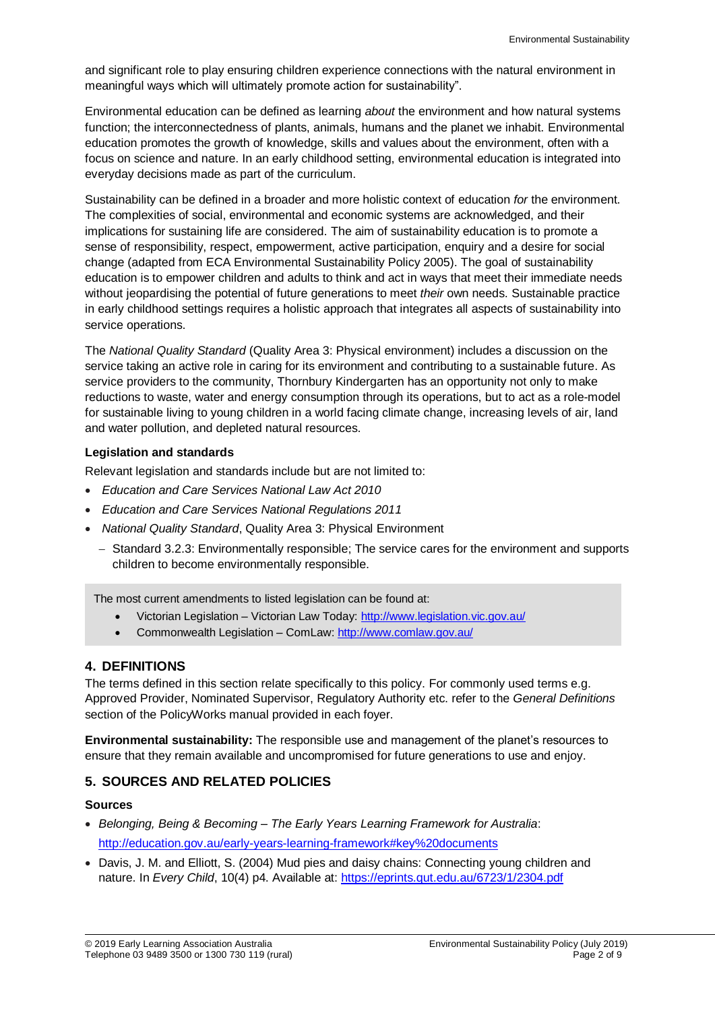and significant role to play ensuring children experience connections with the natural environment in meaningful ways which will ultimately promote action for sustainability".

Environmental education can be defined as learning *about* the environment and how natural systems function; the interconnectedness of plants, animals, humans and the planet we inhabit. Environmental education promotes the growth of knowledge, skills and values about the environment, often with a focus on science and nature. In an early childhood setting, environmental education is integrated into everyday decisions made as part of the curriculum.

Sustainability can be defined in a broader and more holistic context of education *for* the environment. The complexities of social, environmental and economic systems are acknowledged, and their implications for sustaining life are considered. The aim of sustainability education is to promote a sense of responsibility, respect, empowerment, active participation, enquiry and a desire for social change (adapted from ECA Environmental Sustainability Policy 2005). The goal of sustainability education is to empower children and adults to think and act in ways that meet their immediate needs without jeopardising the potential of future generations to meet *their* own needs. Sustainable practice in early childhood settings requires a holistic approach that integrates all aspects of sustainability into service operations.

The *National Quality Standard* (Quality Area 3: Physical environment) includes a discussion on the service taking an active role in caring for its environment and contributing to a sustainable future. As service providers to the community, Thornbury Kindergarten has an opportunity not only to make reductions to waste, water and energy consumption through its operations, but to act as a role-model for sustainable living to young children in a world facing climate change, increasing levels of air, land and water pollution, and depleted natural resources.

### **Legislation and standards**

Relevant legislation and standards include but are not limited to:

- *Education and Care Services National Law Act 2010*
- *Education and Care Services National Regulations 2011*
- *National Quality Standard*, Quality Area 3: Physical Environment
	- Standard 3.2.3: Environmentally responsible; The service cares for the environment and supports children to become environmentally responsible.

The most current amendments to listed legislation can be found at:

- Victorian Legislation Victorian Law Today:<http://www.legislation.vic.gov.au/>
- Commonwealth Legislation ComLaw:<http://www.comlaw.gov.au/>

### **4. DEFINITIONS**

The terms defined in this section relate specifically to this policy. For commonly used terms e.g. Approved Provider, Nominated Supervisor, Regulatory Authority etc. refer to the *General Definitions* section of the PolicyWorks manual provided in each foyer.

**Environmental sustainability:** The responsible use and management of the planet's resources to ensure that they remain available and uncompromised for future generations to use and enjoy.

### **5. SOURCES AND RELATED POLICIES**

#### **Sources**

- *Belonging, Being & Becoming – The Early Years Learning Framework for Australia*: <http://education.gov.au/early-years-learning-framework#key%20documents>
- Davis, J. M. and Elliott, S. (2004) Mud pies and daisy chains: Connecting young children and nature. In *Every Child*, 10(4) p4. Available at:<https://eprints.qut.edu.au/6723/1/2304.pdf>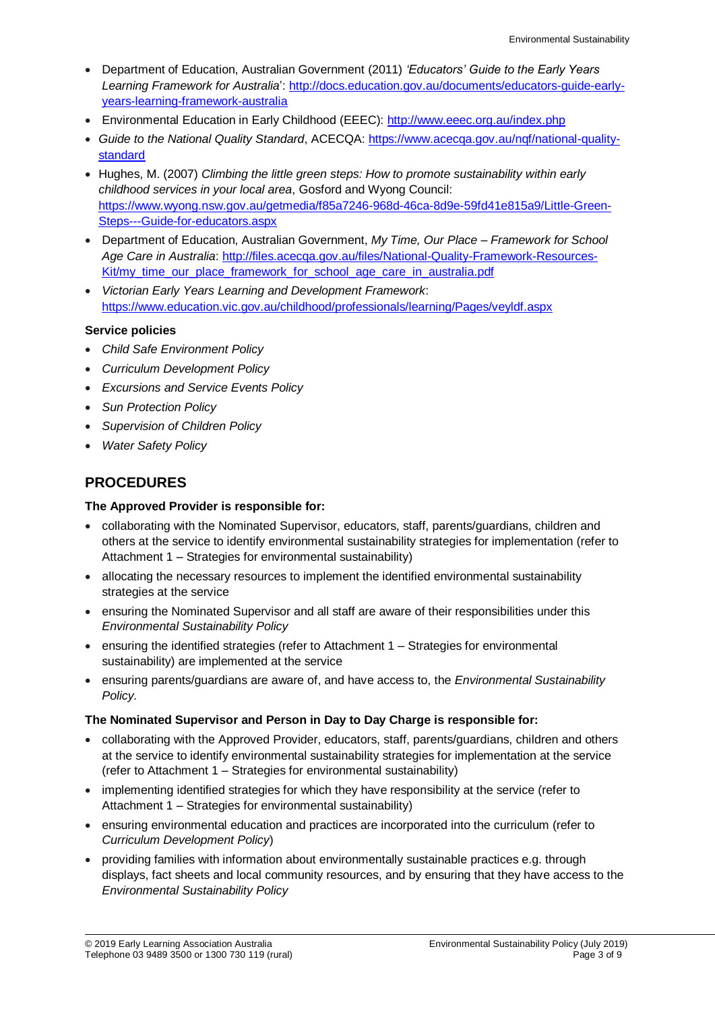- Department of Education, Australian Government (2011) *'Educators' Guide to the Early Years Learning Framework for Australia*': [http://docs.education.gov.au/documents/educators-guide-early](http://docs.education.gov.au/documents/educators-guide-early-years-learning-framework-australia)[years-learning-framework-australia](http://docs.education.gov.au/documents/educators-guide-early-years-learning-framework-australia)
- Environmental Education in Early Childhood (EEEC): <http://www.eeec.org.au/index.php>
- *Guide to the National Quality Standard*, ACECQA: [https://www.acecqa.gov.au/nqf/national-quality](https://www.acecqa.gov.au/nqf/national-quality-standard)[standard](https://www.acecqa.gov.au/nqf/national-quality-standard)
- Hughes, M. (2007) *Climbing the little green steps: How to promote sustainability within early childhood services in your local area*, Gosford and Wyong Council: [https://www.wyong.nsw.gov.au/getmedia/f85a7246-968d-46ca-8d9e-59fd41e815a9/Little-Green-](https://www.wyong.nsw.gov.au/getmedia/f85a7246-968d-46ca-8d9e-59fd41e815a9/Little-Green-Steps---Guide-for-educators.aspx)[Steps---Guide-for-educators.aspx](https://www.wyong.nsw.gov.au/getmedia/f85a7246-968d-46ca-8d9e-59fd41e815a9/Little-Green-Steps---Guide-for-educators.aspx)
- Department of Education, Australian Government, *My Time, Our Place – Framework for School Age Care in Australia*: [http://files.acecqa.gov.au/files/National-Quality-Framework-Resources-](http://files.acecqa.gov.au/files/National-Quality-Framework-Resources-Kit/my_time_our_place_framework_for_school_age_care_in_australia.pdf)[Kit/my\\_time\\_our\\_place\\_framework\\_for\\_school\\_age\\_care\\_in\\_australia.pdf](http://files.acecqa.gov.au/files/National-Quality-Framework-Resources-Kit/my_time_our_place_framework_for_school_age_care_in_australia.pdf)
- *Victorian Early Years Learning and Development Framework*: <https://www.education.vic.gov.au/childhood/professionals/learning/Pages/veyldf.aspx>

### **Service policies**

- *Child Safe Environment Policy*
- *Curriculum Development Policy*
- *Excursions and Service Events Policy*
- *Sun Protection Policy*
- *Supervision of Children Policy*
- *Water Safety Policy*

### **PROCEDURES**

### **The Approved Provider is responsible for:**

- collaborating with the Nominated Supervisor, educators, staff, parents/guardians, children and others at the service to identify environmental sustainability strategies for implementation (refer to Attachment 1 – Strategies for environmental sustainability)
- allocating the necessary resources to implement the identified environmental sustainability strategies at the service
- ensuring the Nominated Supervisor and all staff are aware of their responsibilities under this *Environmental Sustainability Policy*
- ensuring the identified strategies (refer to Attachment 1 Strategies for environmental sustainability) are implemented at the service
- ensuring parents/guardians are aware of, and have access to, the *Environmental Sustainability Policy.*

#### **The Nominated Supervisor and Person in Day to Day Charge is responsible for:**

- collaborating with the Approved Provider, educators, staff, parents/guardians, children and others at the service to identify environmental sustainability strategies for implementation at the service (refer to Attachment 1 – Strategies for environmental sustainability)
- implementing identified strategies for which they have responsibility at the service (refer to Attachment 1 – Strategies for environmental sustainability)
- ensuring environmental education and practices are incorporated into the curriculum (refer to *Curriculum Development Policy*)
- providing families with information about environmentally sustainable practices e.g. through displays, fact sheets and local community resources, and by ensuring that they have access to the *Environmental Sustainability Policy*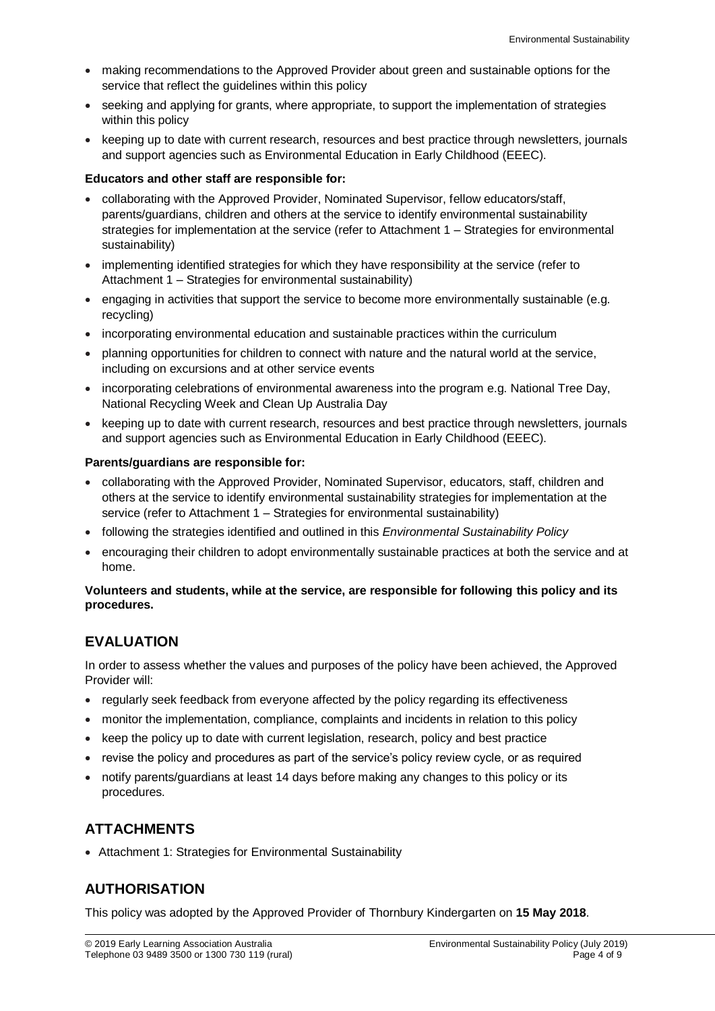- making recommendations to the Approved Provider about green and sustainable options for the service that reflect the guidelines within this policy
- seeking and applying for grants, where appropriate, to support the implementation of strategies within this policy
- keeping up to date with current research, resources and best practice through newsletters, journals and support agencies such as Environmental Education in Early Childhood (EEEC).

### **Educators and other staff are responsible for:**

- collaborating with the Approved Provider, Nominated Supervisor, fellow educators/staff, parents/guardians, children and others at the service to identify environmental sustainability strategies for implementation at the service (refer to Attachment 1 – Strategies for environmental sustainability)
- implementing identified strategies for which they have responsibility at the service (refer to Attachment 1 – Strategies for environmental sustainability)
- engaging in activities that support the service to become more environmentally sustainable (e.g. recycling)
- incorporating environmental education and sustainable practices within the curriculum
- planning opportunities for children to connect with nature and the natural world at the service, including on excursions and at other service events
- incorporating celebrations of environmental awareness into the program e.g. National Tree Day, National Recycling Week and Clean Up Australia Day
- keeping up to date with current research, resources and best practice through newsletters, journals and support agencies such as Environmental Education in Early Childhood (EEEC).

#### **Parents/guardians are responsible for:**

- collaborating with the Approved Provider, Nominated Supervisor, educators, staff, children and others at the service to identify environmental sustainability strategies for implementation at the service (refer to Attachment 1 – Strategies for environmental sustainability)
- following the strategies identified and outlined in this *Environmental Sustainability Policy*
- encouraging their children to adopt environmentally sustainable practices at both the service and at home.

#### **Volunteers and students, while at the service, are responsible for following this policy and its procedures.**

## **EVALUATION**

In order to assess whether the values and purposes of the policy have been achieved, the Approved Provider will:

- regularly seek feedback from everyone affected by the policy regarding its effectiveness
- monitor the implementation, compliance, complaints and incidents in relation to this policy
- keep the policy up to date with current legislation, research, policy and best practice
- revise the policy and procedures as part of the service's policy review cycle, or as required
- notify parents/guardians at least 14 days before making any changes to this policy or its procedures.

## **ATTACHMENTS**

Attachment 1: Strategies for Environmental Sustainability

## **AUTHORISATION**

This policy was adopted by the Approved Provider of Thornbury Kindergarten on **15 May 2018**.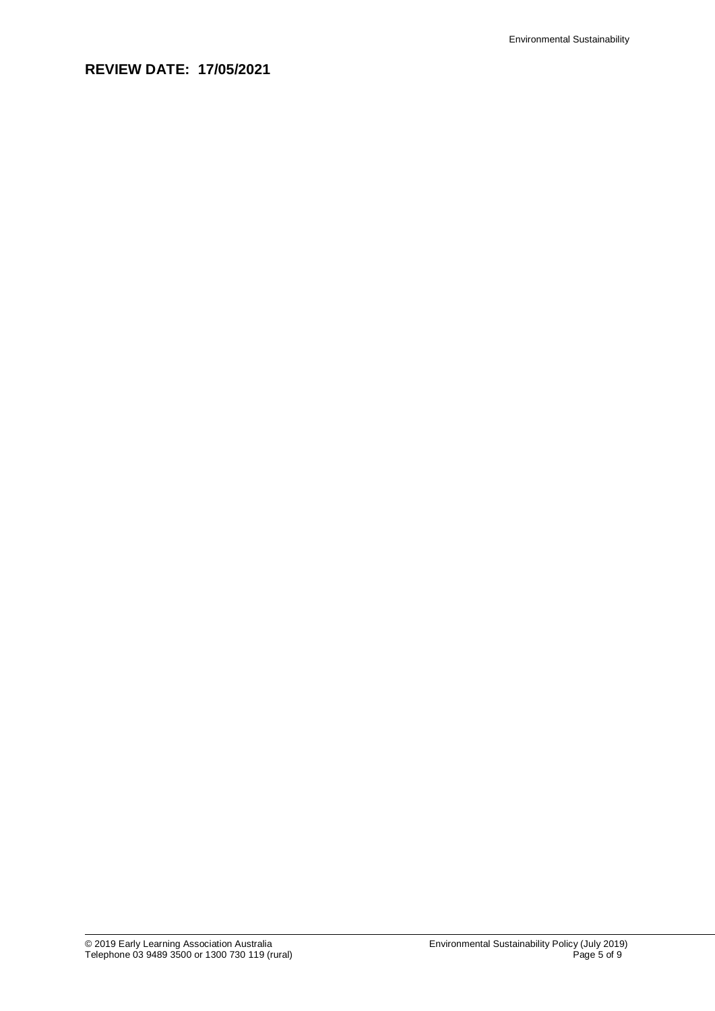# **REVIEW DATE: 17/05/2021**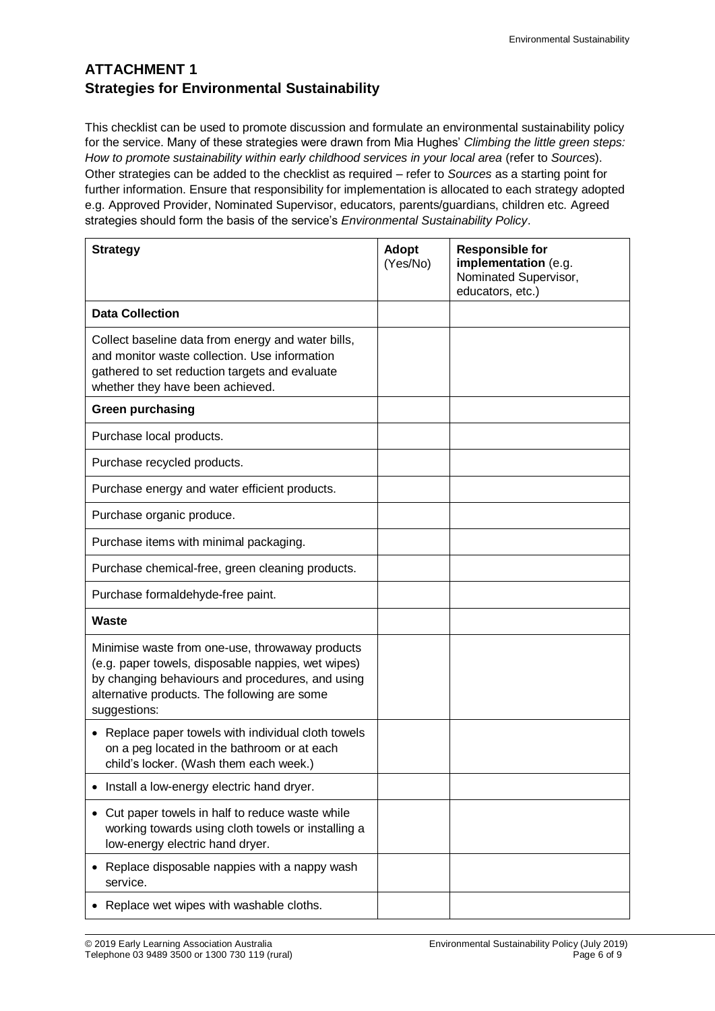# **ATTACHMENT 1 Strategies for Environmental Sustainability**

This checklist can be used to promote discussion and formulate an environmental sustainability policy for the service. Many of these strategies were drawn from Mia Hughes' *Climbing the little green steps: How to promote sustainability within early childhood services in your local area* (refer to *Sources*). Other strategies can be added to the checklist as required – refer to *Sources* as a starting point for further information. Ensure that responsibility for implementation is allocated to each strategy adopted e.g. Approved Provider, Nominated Supervisor, educators, parents/guardians, children etc. Agreed strategies should form the basis of the service's *Environmental Sustainability Policy*.

| <b>Strategy</b>                                                                                                                                                                                                           | <b>Adopt</b><br>(Yes/No) | <b>Responsible for</b><br>implementation (e.g.<br>Nominated Supervisor,<br>educators, etc.) |
|---------------------------------------------------------------------------------------------------------------------------------------------------------------------------------------------------------------------------|--------------------------|---------------------------------------------------------------------------------------------|
| <b>Data Collection</b>                                                                                                                                                                                                    |                          |                                                                                             |
| Collect baseline data from energy and water bills,<br>and monitor waste collection. Use information<br>gathered to set reduction targets and evaluate<br>whether they have been achieved.                                 |                          |                                                                                             |
| <b>Green purchasing</b>                                                                                                                                                                                                   |                          |                                                                                             |
| Purchase local products.                                                                                                                                                                                                  |                          |                                                                                             |
| Purchase recycled products.                                                                                                                                                                                               |                          |                                                                                             |
| Purchase energy and water efficient products.                                                                                                                                                                             |                          |                                                                                             |
| Purchase organic produce.                                                                                                                                                                                                 |                          |                                                                                             |
| Purchase items with minimal packaging.                                                                                                                                                                                    |                          |                                                                                             |
| Purchase chemical-free, green cleaning products.                                                                                                                                                                          |                          |                                                                                             |
| Purchase formaldehyde-free paint.                                                                                                                                                                                         |                          |                                                                                             |
| <b>Waste</b>                                                                                                                                                                                                              |                          |                                                                                             |
| Minimise waste from one-use, throwaway products<br>(e.g. paper towels, disposable nappies, wet wipes)<br>by changing behaviours and procedures, and using<br>alternative products. The following are some<br>suggestions: |                          |                                                                                             |
| • Replace paper towels with individual cloth towels<br>on a peg located in the bathroom or at each<br>child's locker. (Wash them each week.)                                                                              |                          |                                                                                             |
| Install a low-energy electric hand dryer.                                                                                                                                                                                 |                          |                                                                                             |
| Cut paper towels in half to reduce waste while<br>working towards using cloth towels or installing a<br>low-energy electric hand dryer.                                                                                   |                          |                                                                                             |
| Replace disposable nappies with a nappy wash<br>service.                                                                                                                                                                  |                          |                                                                                             |
| Replace wet wipes with washable cloths.                                                                                                                                                                                   |                          |                                                                                             |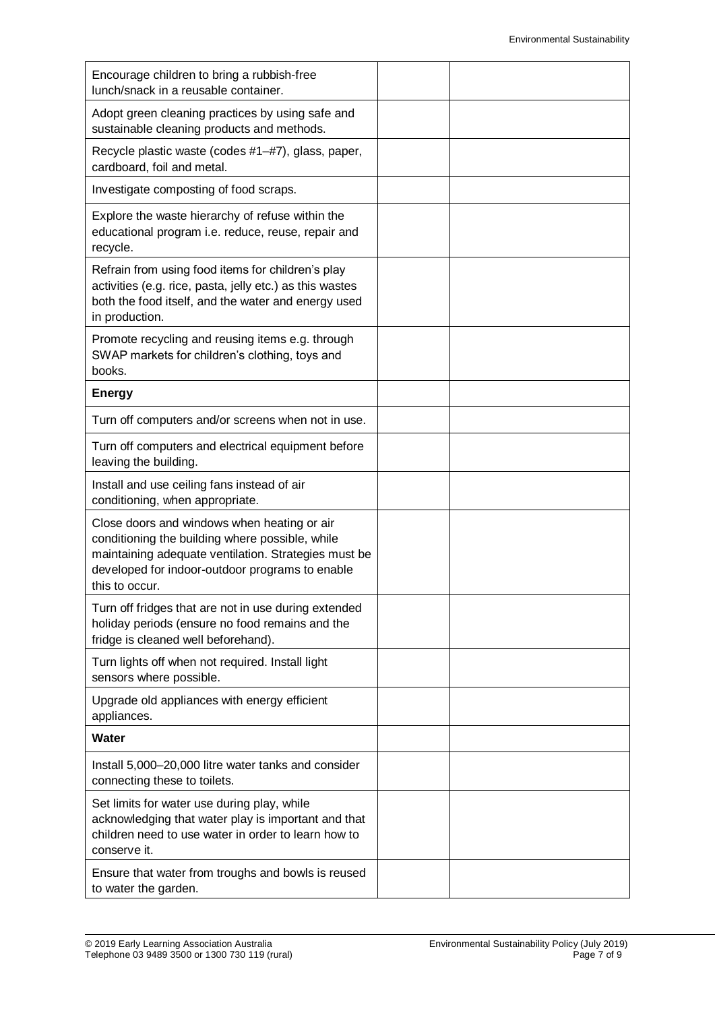| Encourage children to bring a rubbish-free<br>lunch/snack in a reusable container.                                                                                                                                          |  |
|-----------------------------------------------------------------------------------------------------------------------------------------------------------------------------------------------------------------------------|--|
| Adopt green cleaning practices by using safe and<br>sustainable cleaning products and methods.                                                                                                                              |  |
| Recycle plastic waste (codes #1-#7), glass, paper,<br>cardboard, foil and metal.                                                                                                                                            |  |
| Investigate composting of food scraps.                                                                                                                                                                                      |  |
| Explore the waste hierarchy of refuse within the<br>educational program i.e. reduce, reuse, repair and<br>recycle.                                                                                                          |  |
| Refrain from using food items for children's play<br>activities (e.g. rice, pasta, jelly etc.) as this wastes<br>both the food itself, and the water and energy used<br>in production.                                      |  |
| Promote recycling and reusing items e.g. through<br>SWAP markets for children's clothing, toys and<br>books.                                                                                                                |  |
| <b>Energy</b>                                                                                                                                                                                                               |  |
| Turn off computers and/or screens when not in use.                                                                                                                                                                          |  |
| Turn off computers and electrical equipment before<br>leaving the building.                                                                                                                                                 |  |
| Install and use ceiling fans instead of air<br>conditioning, when appropriate.                                                                                                                                              |  |
| Close doors and windows when heating or air<br>conditioning the building where possible, while<br>maintaining adequate ventilation. Strategies must be<br>developed for indoor-outdoor programs to enable<br>this to occur. |  |
| Turn off fridges that are not in use during extended<br>holiday periods (ensure no food remains and the<br>fridge is cleaned well beforehand).                                                                              |  |
| Turn lights off when not required. Install light<br>sensors where possible.                                                                                                                                                 |  |
| Upgrade old appliances with energy efficient<br>appliances.                                                                                                                                                                 |  |
| Water                                                                                                                                                                                                                       |  |
| Install 5,000-20,000 litre water tanks and consider<br>connecting these to toilets.                                                                                                                                         |  |
| Set limits for water use during play, while<br>acknowledging that water play is important and that<br>children need to use water in order to learn how to<br>conserve it.                                                   |  |
| Ensure that water from troughs and bowls is reused<br>to water the garden.                                                                                                                                                  |  |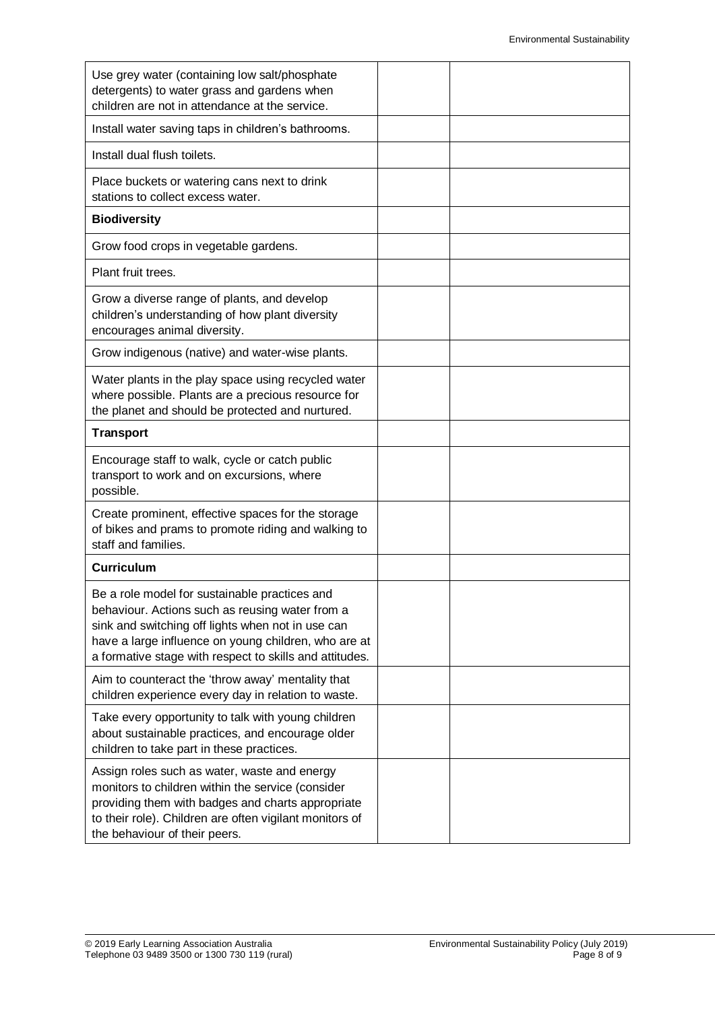| Use grey water (containing low salt/phosphate<br>detergents) to water grass and gardens when<br>children are not in attendance at the service.                                                                                                                           |  |
|--------------------------------------------------------------------------------------------------------------------------------------------------------------------------------------------------------------------------------------------------------------------------|--|
| Install water saving taps in children's bathrooms.                                                                                                                                                                                                                       |  |
| Install dual flush toilets.                                                                                                                                                                                                                                              |  |
| Place buckets or watering cans next to drink<br>stations to collect excess water.                                                                                                                                                                                        |  |
| <b>Biodiversity</b>                                                                                                                                                                                                                                                      |  |
| Grow food crops in vegetable gardens.                                                                                                                                                                                                                                    |  |
| Plant fruit trees.                                                                                                                                                                                                                                                       |  |
| Grow a diverse range of plants, and develop<br>children's understanding of how plant diversity<br>encourages animal diversity.                                                                                                                                           |  |
| Grow indigenous (native) and water-wise plants.                                                                                                                                                                                                                          |  |
| Water plants in the play space using recycled water<br>where possible. Plants are a precious resource for<br>the planet and should be protected and nurtured.                                                                                                            |  |
| <b>Transport</b>                                                                                                                                                                                                                                                         |  |
| Encourage staff to walk, cycle or catch public<br>transport to work and on excursions, where<br>possible.                                                                                                                                                                |  |
| Create prominent, effective spaces for the storage<br>of bikes and prams to promote riding and walking to<br>staff and families.                                                                                                                                         |  |
| <b>Curriculum</b>                                                                                                                                                                                                                                                        |  |
| Be a role model for sustainable practices and<br>behaviour. Actions such as reusing water from a<br>sink and switching off lights when not in use can<br>have a large influence on young children, who are at<br>a formative stage with respect to skills and attitudes. |  |
| Aim to counteract the 'throw away' mentality that<br>children experience every day in relation to waste.                                                                                                                                                                 |  |
| Take every opportunity to talk with young children<br>about sustainable practices, and encourage older<br>children to take part in these practices.                                                                                                                      |  |
| Assign roles such as water, waste and energy<br>monitors to children within the service (consider<br>providing them with badges and charts appropriate<br>to their role). Children are often vigilant monitors of<br>the behaviour of their peers.                       |  |